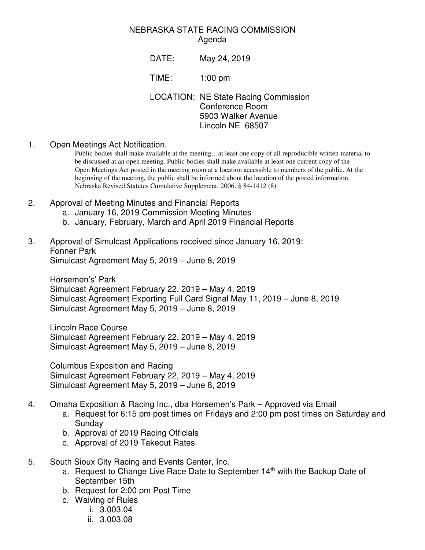## NEBRASKA STATE RACING COMMISSION Agenda

DATE: May 24, 2019

TIME: 1:00 pm

LOCATION: NE State Racing Commission Conference Room 5903 Walker Avenue Lincoln NE 68507

1. Open Meetings Act Notification.

Public bodies shall make available at the meeting…at least one copy of all reproducible written material to be discussed at an open meeting. Public bodies shall make available at least one current copy of the Open Meetings Act posted in the meeting room at a location accessible to members of the public. At the beginning of the meeting, the public shall be informed about the location of the posted information. Nebraska Revised Statutes Cumulative Supplement, 2006. § 84-1412 (8)

- 2. Approval of Meeting Minutes and Financial Reports
	- a. January 16, 2019 Commission Meeting Minutes
	- b. January, February, March and April 2019 Financial Reports

## 3. Approval of Simulcast Applications received since January 16, 2019: Fonner Park Simulcast Agreement May 5, 2019 – June 8, 2019

Horsemen's' Park Simulcast Agreement February 22, 2019 – May 4, 2019 Simulcast Agreement Exporting Full Card Signal May 11, 2019 – June 8, 2019 Simulcast Agreement May 5, 2019 – June 8, 2019

Lincoln Race Course Simulcast Agreement February 22, 2019 – May 4, 2019 Simulcast Agreement May 5, 2019 – June 8, 2019

Columbus Exposition and Racing Simulcast Agreement February 22, 2019 – May 4, 2019 Simulcast Agreement May 5, 2019 – June 8, 2019

- 4. Omaha Exposition & Racing Inc., dba Horsemen's Park Approved via Email
	- a. Request for 6:15 pm post times on Fridays and 2:00 pm post times on Saturday and Sunday
	- b. Approval of 2019 Racing Officials
	- c. Approval of 2019 Takeout Rates
- 5. South Sioux City Racing and Events Center, Inc.
	- a. Request to Change Live Race Date to September 14<sup>th</sup> with the Backup Date of September 15th
	- b. Request for 2:00 pm Post Time
	- c. Waiving of Rules
		- i. 3.003.04
		- ii. 3.003.08